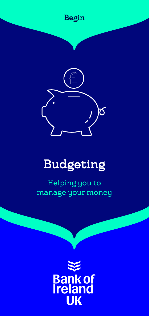



# Budgeting

Helping you to manage your money

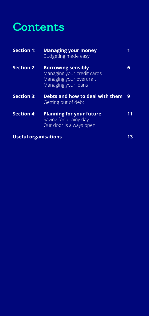# **Contents**

| <b>Section 1:</b>           | <b>Managing your money</b><br>Budgeting made easy                                                         |    |
|-----------------------------|-----------------------------------------------------------------------------------------------------------|----|
| <b>Section 2:</b>           | <b>Borrowing sensibly</b><br>Managing your credit cards<br>Managing your overdraft<br>Managing your loans | 6  |
| <b>Section 3:</b>           | Debts and how to deal with them<br>Getting out of debt                                                    | 9  |
| <b>Section 4:</b>           | <b>Planning for your future</b><br>Saving for a rainy day<br>Our door is always open                      | 11 |
| <b>Useful organisations</b> |                                                                                                           |    |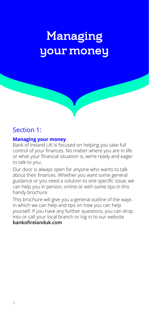# Managing your money

# Section 1:

#### **Managing your money**

Bank of Ireland UK is focused on helping you take full control of your finances. No matter where you are in life or what your financial situation is, we're ready and eager to talk to you.

Our door is always open for anyone who wants to talk about their finances. Whether you want some general guidance or you need a solution to one specific issue, we can help you in person, online or with some tips in this handy brochure.

This brochure will give you a general outline of the ways in which we can help and tips on how you can help yourself. If you have any further questions, you can drop into or call your local branch or log in to our website **bankofirelanduk.com**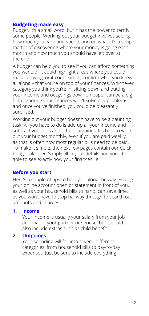### **Budgeting made easy**

Budget. It's a small word, but it has the power to terrify some people. Working out your budget involves seeing how much you earn and spend, and on what. It's a simple matter of discovering where your money is going each month and how much you should have left over at the end.

A budget can help you to see if you can afford something you want, or it could highlight areas where you could make a saving, or it could simply confirm what you knew all along – that you're on top of your finances. Whichever category you think you're in, sitting down and putting your income and outgoings down on paper can be a big help. Ignoring your finances won't solve any problems and once you've finished, you could be pleasantly surprised.

Working out your budget doesn't have to be a daunting task. All you have to do is add up all your income and subtract your bills and other outgoings. It's best to work out your budget monthly, even if you are paid weekly, as that is often how most regular bills need to be paid. To make it simple, the next few pages contain our quick budget planner. Simply fill in your details and you'll be able to see exactly how your finances lie.

# **Before you start**

Here's a couple of tips to help you along the way. Having your online account open or statement in front of you, as well as your household bills to hand, can save time, as you won't have to stop halfway through to search out amounts and charges.

#### **1. Income**

Your income is usually your salary from your job and that of your partner or spouse, but it could also include extras such as child benefit.

#### **2. Outgoings**

Your spending will fall into several different categories, from household bills to day-to-day expenses. Just be sure to include everything.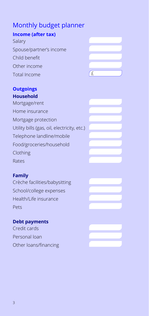# Monthly budget planner

# **Income (after tax)**

Salary Spouse/partner's income Child benefit Other income  $Total Income$   $f$ 



### **Outgoings Household**

Mortgage/rent Home insurance Mortgage protection Utility bills (gas, oil, electricity, etc.) Telephone landline/mobile Food/groceries/household Clothing Rates

# **Family**

Crèche facilities/babysitting School/college expenses Health/Life insurance Pets

# **Debt payments**

Credit cards Personal loan Other loans/financing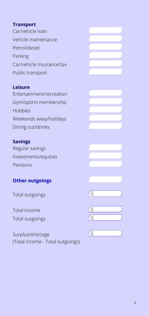## **Transport**

Car/vehicle loan Vehicle maintenance Petrol/diesel Parking Car/vehicle insurance/tax Public transport

#### **Leisure**

Entertainment/recreation Gym/sports membership Hobbies Weekends away/holidays Dining out/drinks

## **Savings**

Regular savings Investments/equities Pensions

# **Other outgoings**

Total outgoings £

Total income Total outgoings £

Surplus/shortage (Total income - Total outgoings)

| E      |  |  |
|--------|--|--|
|        |  |  |
|        |  |  |
| E<br>E |  |  |
|        |  |  |
|        |  |  |
|        |  |  |
| f f    |  |  |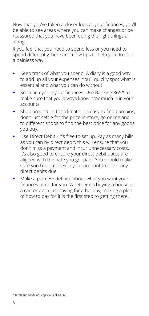Now that you've taken a closer look at your finances, you'll be able to see areas where you can make changes or be reassured that you have been doing the right things all along.

If you feel that you need to spend less or you need to spend differently, here are a few tips to help you do so in a painless way.

- Keep track of what you spend. A diary is a good way to add up all your expenses. You'll quickly spot what is essential and what you can do without.
- Keep an eye on your finances. Use Banking 365\* to make sure that you always know how much is in your accounts.
- $\blacktriangleright$  Shop around. In this climate it is easy to find bargains, don't just settle for the price in-store, go online and to different shops to find the best price for any goods you buy.
- Use Direct Debit it's free to set up. Pay as many bills as you can by direct debit, this will ensure that you don't miss a payment and incur unnecessary costs. It's also good to ensure your direct debit dates are aligned with the date you get paid. You should make sure you have money in your account to cover any direct debits due.
- Make a plan. Be definite about what you want your finances to do for you. Whether it's buying a house or a car, or even just saving for a holiday, making a plan of how to pay for it is the first step to getting there.

<sup>\*</sup> Terms and conditions apply to Banking 365.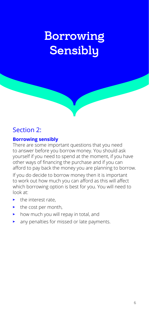# Borrowing **Sensibly**

# Section 2:

## **Borrowing sensibly**

There are some important questions that you need to answer before you borrow money. You should ask yourself if you need to spend at the moment, if you have other ways of financing the purchase and if you can afford to pay back the money you are planning to borrow.

If you do decide to borrow money then it is important to work out how much you can afford as this will affect which borrowing option is best for you. You will need to look at:

- the interest rate,
- the cost per month,
- how much you will repay in total, and
- any penalties for missed or late payments.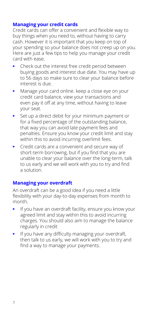### **Managing your credit cards**

Credit cards can offer a convenient and flexible way to buy things when you need to, without having to carry cash. However it is important that you keep on top of your spending so your balance does not creep up on you. Here are just a few tips to help you manage your credit card with ease.

- Check out the interest free credit period between buying goods and interest due date. You may have up to 56 days so make sure to clear your balance before interest is due.
- Manage your card online. keep a close eye on your credit card balance, view your transactions and even pay it off at any time, without having to leave your seat.
- Set up a direct debit for your minimum payment or for a fixed percentage of the outstanding balance, that way you can avoid late payment fees and penalties. Ensure you know your credit limit and stay within this to avoid incurring overlimit fees.
- Credit cards are a convenient and secure way of short-term borrowing, but if you find that you are unable to clear your balance over the long-term, talk to us early and we will work with you to try and find a solution.

## **Managing your overdraft**

An overdraft can be a good idea if you need a little flexibility with your day-to-day expenses from month to month.

- If you have an overdraft facility, ensure you know your agreed limit and stay within this to avoid incurring charges. You should also aim to manage the balance regularly in credit
- If you have any difficulty managing your overdraft, then talk to us early, we will work with you to try and find a way to manage your payments.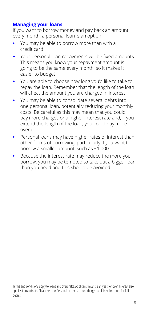## **Managing your loans**

If you want to borrow money and pay back an amount every month, a personal loan is an option.

- You may be able to borrow more than with a credit card
- Your personal loan repayments will be fixed amounts. This means you know your repayment amount is going to be the same every month, so it makes it easier to budget
- You are able to choose how long you'd like to take to repay the loan. Remember that the length of the loan will affect the amount you are charged in interest
- You may be able to consolidate several debts into one personal loan, potentially reducing your monthly costs. Be careful as this may mean that you could pay more charges or a higher interest rate and, if you extend the length of the loan, you could pay more overall
- Personal loans may have higher rates of interest than other forms of borrowing, particularly if you want to borrow a smaller amount, such as £1,000
- Because the interest rate may reduce the more you borrow, you may be tempted to take out a bigger loan than you need and this should be avoided.

Terms and conditions apply to loans and overdrafts. Applicants must be 21 years or over. Interest also applies to overdrafts. Please see our Personal current account charges explained brochure for full details.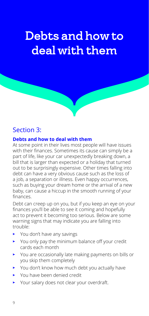# Debts and how to deal with them

# Section 3:

#### **Debts and how to deal with them**

At some point in their lives most people will have issues with their finances. Sometimes its cause can simply be a part of life, like your car unexpectedly breaking down, a bill that is larger than expected or a holiday that turned out to be surprisingly expensive. Other times falling into debt can have a very obvious cause such as the loss of a iob, a separation or illness. Even happy occurrences, such as buying your dream home or the arrival of a new baby, can cause a hiccup in the smooth running of your finances.

Debt can creep up on you, but if you keep an eye on your finances you'll be able to see it coming and hopefully act to prevent it becoming too serious. Below are some warning signs that may indicate you are falling into trouble:

- You don't have any savings
- You only pay the minimum balance off your credit cards each month
- You are occasionally late making payments on bills or you skip them completely
- You don't know how much debt you actually have
- You have been denied credit
- Your salary does not clear your overdraft.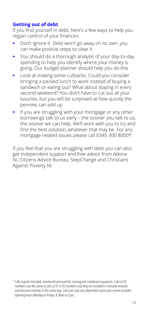## **Getting out of debt**

If you find yourself in debt, here's a few ways to help you regain control of your finances:

- Don't ignore it. Debt won't go away on its own, you can make positive steps to clear it
- You should do a thorough analysis of your day-to-day spending to help you identify where your money is going. Our budget planner should help you do this
- Look at making some cutbacks. Could you consider bringing a packed lunch to work instead of buying a sandwich or eating out? What about staying in every second weekend? You don't have to cut out all your luxuries, but you will be surprised at how quickly the pennies can add up
- $\blacktriangleright$  If you are struggling with your mortgage or any other borrowings talk to us early – the sooner you talk to us, the sooner we can help. We'll work with you to try and find the best solution, whatever that may be. For any mortgage related issues please call 0345 300 8000\*.

If you feel that you are struggling with debt you can also get independent support and free advice from Advice NI, Citizens Advice Bureau, StepChange and Christians Against Poverty NI.

<sup>\*</sup> Calls may be recorded, monitored and used for training and compliance purposes. Calls to 03 numbers cost the same as calls to 01 or 02 numbers and they are included in inclusive minutes and discount schemes in the same way. Call costs may vary dependent upon your service provider. Opening hours Monday to Friday, 8.30am to 5pm.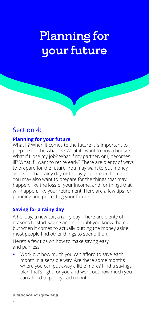# Planning for your future

# Section 4:

### **Planning for your future**

What if? When it comes to the future it is important to prepare for the what ifs? What if I want to buy a house? What if I lose my job? What if my partner, or I, becomes ill? What if I want to retire early? There are plenty of ways to prepare for the future. You may want to put money aside for that rainy day or to buy your dream home. You may also want to prepare for the things that may happen, like the loss of your income, and for things that will happen, like your retirement. Here are a few tips for planning and protecting your future.

## **Saving for a rainy day**

A holiday, a new car, a rainy day. There are plenty of reasons to start saving and no doubt you know them all, but when it comes to actually putting the money aside, most people find other things to spend it on.

Here's a few tips on how to make saving easy and painless:

• Work out how much you can afford to save each month in a sensible way. Are there some months where you can put away a little more? Find a savings plan that's right for you and work out how much you can afford to put by each month

Terms and conditions apply to savings.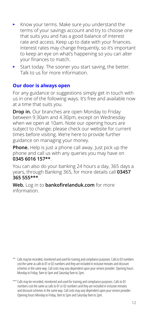- Know your terms. Make sure you understand the terms of your savings account and try to choose one that suits you and has a good balance of interest rate and access. Keep up to date with your finances. Interest rates may change frequently, so it's important to keep an eye on what's happening so you can alter your finances to match.
- Start today. The sooner you start saving, the better. Talk to us for more information.

### **Our door is always open**

For any guidance or suggestions simply get in touch with us in one of the following ways. It's free and available now at a time that suits you.

**Drop in.** Our branches are open Monday to Friday between 9.30am and 4.30pm, except on Wednesday when we open at 10am. Note our opening hours are subject to change; please check our website for current times before visiting. We're here to provide further guidance on managing your money.

**Phone.** Help is just a phone call away. Just pick up the phone and call us with any queries you may have on **0345 6016 157\*\***.

You can also do your banking 24 hours a day, 365 days a years, through Banking 365, for more details call **03457 365 555\*\*\***.

**Web.** Log in to **bankofirelanduk.com** for more information.

- \*\* Calls may be recorded, monitored and used for training and compliance purposes. Calls to 03 numbers cost the same as calls to 01 or 02 numbers and they are included in inclusive minutes and discount schemes in the same way. Call costs may vary dependent upon your service provider. Opening hours Monday to Friday, 9am to 5pm and Saturday 9am to 2pm.
- \*\*\* Calls may be recorded, monitored and used for training and compliance purposes. Calls to 03 numbers cost the same as calls to 01 or 02 numbers and they are included in inclusive minutes and discount schemes in the same way. Call costs may vary dependent upon your service provider. Opening hours Monday to Friday, 9am to 5pm and Saturday 9am to 2pm.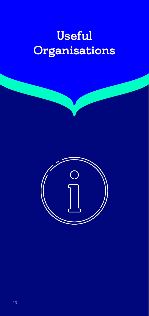# Useful **Organisations**

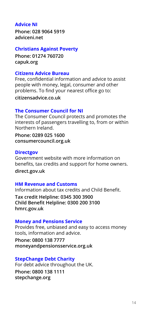## **Advice NI**

**Phone: 028 9064 5919 adviceni.net**

#### **Christians Against Poverty**

**Phone: 01274 760720 capuk.org**

#### **Citizens Advice Bureau**

Free, confidential information and advice to assist people with money, legal, consumer and other problems. To find your nearest office go to:

**citizensadvice.co.uk**

#### **The Consumer Council for NI**

The Consumer Council protects and promotes the interests of passengers travelling to, from or within Northern Ireland.

**Phone: 0289 025 1600 consumercouncil.org.uk**

#### **Directgov**

Government website with more information on benefits, tax credits and support for home owners. **direct.gov.uk**

#### **HM Revenue and Customs**

Information about tax credits and Child Benefit.

**Tax credit Helpline: 0345 300 3900 Child Benefit Helpline: 0300 200 3100 hmrc.gov.uk**

#### **Money and Pensions Service**

Provides free, unbiased and easy to access money tools, information and advice.

**Phone: 0800 138 7777 moneyandpensionsservice.org.uk**

#### **StepChange Debt Charity**

For debt advice throughout the UK. **Phone: 0800 138 1111 stepchange.org**